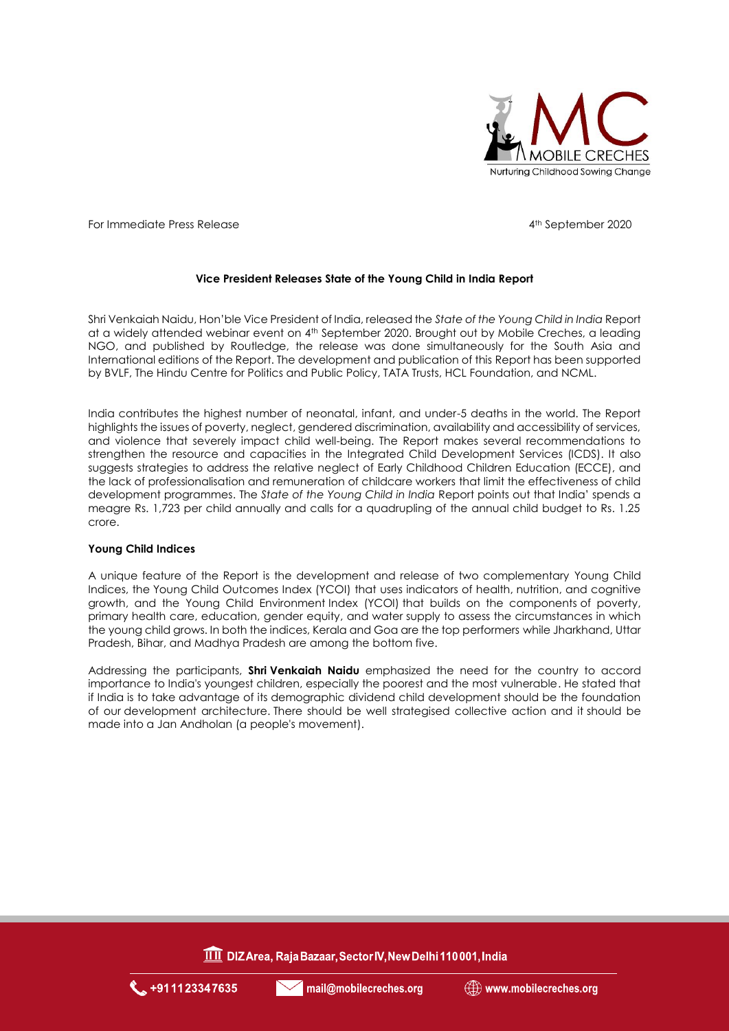

For Immediate Press Release 4

4<sup>th</sup> September 2020

## **Vice President Releases State of the Young Child in India Report**

Shri Venkaiah Naidu, Hon'ble Vice President of India, released the *State of the Young Child in India* Report at a widely attended webinar event on 4<sup>th</sup> September 2020. Brought out by Mobile Creches, a leading NGO, and published by Routledge, the release was done simultaneously for the South Asia and International editions of the Report. The development and publication of this Report has been supported by BVLF, The Hindu Centre for Politics and Public Policy, TATA Trusts, HCL Foundation, and NCML.

India contributes the highest number of neonatal, infant, and under-5 deaths in the world. The Report highlights the issues of poverty, neglect, gendered discrimination, availability and accessibility of services, and violence that severely impact child well-being. The Report makes several recommendations to strengthen the resource and capacities in the Integrated Child Development Services (ICDS). It also suggests strategies to address the relative neglect of Early Childhood Children Education (ECCE), and the lack of professionalisation and remuneration of childcare workers that limit the effectiveness of child development programmes. The *State of the Young Child in India* Report points out that India' spends a meagre Rs. 1,723 per child annually and calls for a quadrupling of the annual child budget to Rs. 1.25 crore.

## **Young Child Indices**

A unique feature of the Report is the development and release of two complementary Young Child Indices, the Young Child Outcomes Index (YCOI) that uses indicators of health, nutrition, and cognitive growth, and the Young Child Environment Index (YCOI) that builds on the components of poverty, primary health care, education, gender equity, and water supply to assess the circumstances in which the young child grows. In both the indices, Kerala and Goa are the top performers while Jharkhand, Uttar Pradesh, Bihar, and Madhya Pradesh are among the bottom five.

Addressing the participants, **Shri Venkaiah Naidu** emphasized the need for the country to accord importance to India's youngest children, especially the poorest and the most vulnerable. He stated that if India is to take advantage of its demographic dividend child development should be the foundation of our development architecture. There should be well strategised collective action and it should be made into a Jan Andholan (a people's movement).

**III** DIZ Area, Raja Bazaar, Sector IV, New Delhi 110001, India